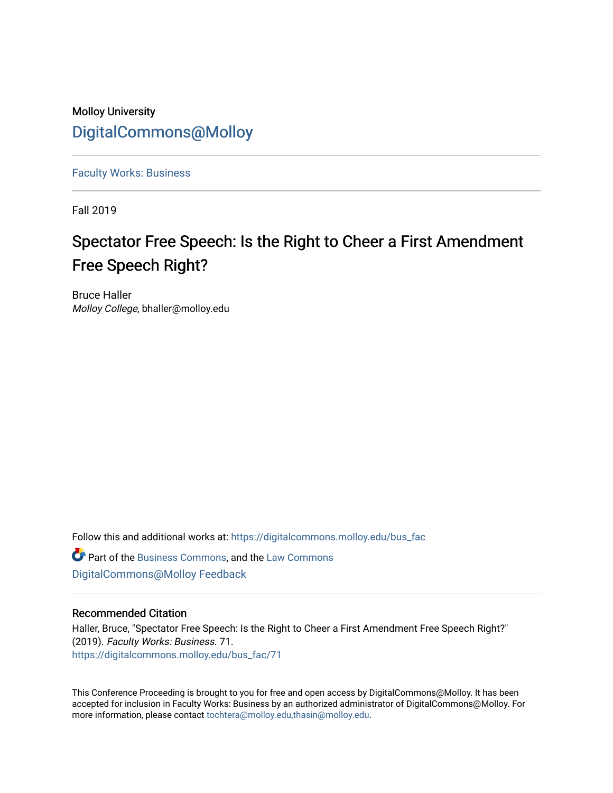### Molloy University [DigitalCommons@Molloy](https://digitalcommons.molloy.edu/)

[Faculty Works: Business](https://digitalcommons.molloy.edu/bus_fac) 

Fall 2019

## Spectator Free Speech: Is the Right to Cheer a First Amendment Free Speech Right?

Bruce Haller Molloy College, bhaller@molloy.edu

Follow this and additional works at: [https://digitalcommons.molloy.edu/bus\\_fac](https://digitalcommons.molloy.edu/bus_fac?utm_source=digitalcommons.molloy.edu%2Fbus_fac%2F71&utm_medium=PDF&utm_campaign=PDFCoverPages)

**C** Part of the [Business Commons](https://network.bepress.com/hgg/discipline/622?utm_source=digitalcommons.molloy.edu%2Fbus_fac%2F71&utm_medium=PDF&utm_campaign=PDFCoverPages), and the [Law Commons](https://network.bepress.com/hgg/discipline/578?utm_source=digitalcommons.molloy.edu%2Fbus_fac%2F71&utm_medium=PDF&utm_campaign=PDFCoverPages) [DigitalCommons@Molloy Feedback](https://molloy.libwizard.com/f/dcfeedback)

#### Recommended Citation

Haller, Bruce, "Spectator Free Speech: Is the Right to Cheer a First Amendment Free Speech Right?" (2019). Faculty Works: Business. 71. [https://digitalcommons.molloy.edu/bus\\_fac/71](https://digitalcommons.molloy.edu/bus_fac/71?utm_source=digitalcommons.molloy.edu%2Fbus_fac%2F71&utm_medium=PDF&utm_campaign=PDFCoverPages) 

This Conference Proceeding is brought to you for free and open access by DigitalCommons@Molloy. It has been accepted for inclusion in Faculty Works: Business by an authorized administrator of DigitalCommons@Molloy. For more information, please contact [tochtera@molloy.edu,thasin@molloy.edu.](mailto:tochtera@molloy.edu,thasin@molloy.edu)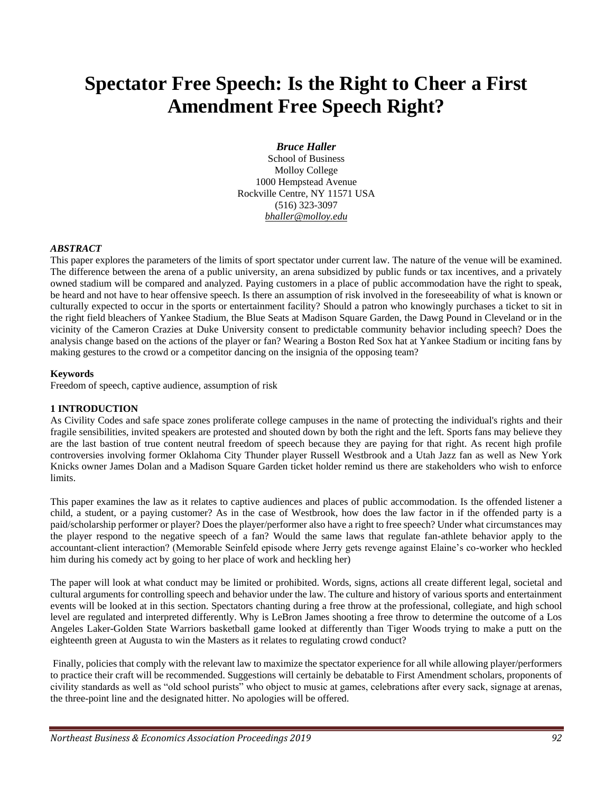# **Spectator Free Speech: Is the Right to Cheer a First Amendment Free Speech Right?**

#### *Bruce Haller*

School of Business Molloy College 1000 Hempstead Avenue Rockville Centre, NY 11571 USA (516) 323-3097 *bhaller@molloy.edu*

#### *ABSTRACT*

This paper explores the parameters of the limits of sport spectator under current law. The nature of the venue will be examined. The difference between the arena of a public university, an arena subsidized by public funds or tax incentives, and a privately owned stadium will be compared and analyzed. Paying customers in a place of public accommodation have the right to speak, be heard and not have to hear offensive speech. Is there an assumption of risk involved in the foreseeability of what is known or culturally expected to occur in the sports or entertainment facility? Should a patron who knowingly purchases a ticket to sit in the right field bleachers of Yankee Stadium, the Blue Seats at Madison Square Garden, the Dawg Pound in Cleveland or in the vicinity of the Cameron Crazies at Duke University consent to predictable community behavior including speech? Does the analysis change based on the actions of the player or fan? Wearing a Boston Red Sox hat at Yankee Stadium or inciting fans by making gestures to the crowd or a competitor dancing on the insignia of the opposing team?

#### **Keywords**

Freedom of speech, captive audience, assumption of risk

#### **1 INTRODUCTION**

As Civility Codes and safe space zones proliferate college campuses in the name of protecting the individual's rights and their fragile sensibilities, invited speakers are protested and shouted down by both the right and the left. Sports fans may believe they are the last bastion of true content neutral freedom of speech because they are paying for that right. As recent high profile controversies involving former Oklahoma City Thunder player Russell Westbrook and a Utah Jazz fan as well as New York Knicks owner James Dolan and a Madison Square Garden ticket holder remind us there are stakeholders who wish to enforce limits.

This paper examines the law as it relates to captive audiences and places of public accommodation. Is the offended listener a child, a student, or a paying customer? As in the case of Westbrook, how does the law factor in if the offended party is a paid/scholarship performer or player? Does the player/performer also have a right to free speech? Under what circumstances may the player respond to the negative speech of a fan? Would the same laws that regulate fan-athlete behavior apply to the accountant-client interaction? (Memorable Seinfeld episode where Jerry gets revenge against Elaine's co-worker who heckled him during his comedy act by going to her place of work and heckling her)

The paper will look at what conduct may be limited or prohibited. Words, signs, actions all create different legal, societal and cultural arguments for controlling speech and behavior under the law. The culture and history of various sports and entertainment events will be looked at in this section. Spectators chanting during a free throw at the professional, collegiate, and high school level are regulated and interpreted differently. Why is LeBron James shooting a free throw to determine the outcome of a Los Angeles Laker-Golden State Warriors basketball game looked at differently than Tiger Woods trying to make a putt on the eighteenth green at Augusta to win the Masters as it relates to regulating crowd conduct?

Finally, policies that comply with the relevant law to maximize the spectator experience for all while allowing player/performers to practice their craft will be recommended. Suggestions will certainly be debatable to First Amendment scholars, proponents of civility standards as well as "old school purists" who object to music at games, celebrations after every sack, signage at arenas, the three-point line and the designated hitter. No apologies will be offered.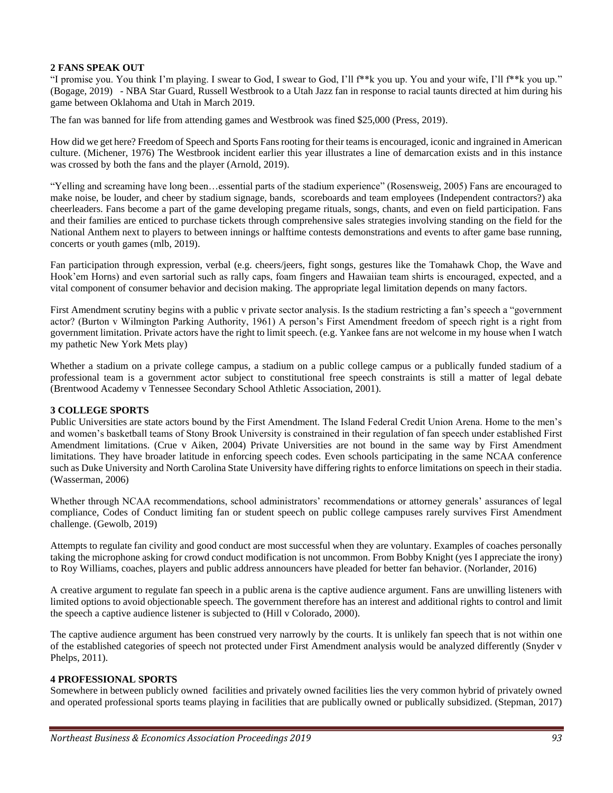#### **2 FANS SPEAK OUT**

"I promise you. You think I'm playing. I swear to God, I swear to God, I'll f\*\*k you up. You and your wife, I'll f\*\*k you up." (Bogage, 2019) - NBA Star Guard, Russell Westbrook to a Utah Jazz fan in response to racial taunts directed at him during his game between Oklahoma and Utah in March 2019.

The fan was banned for life from attending games and Westbrook was fined \$25,000 (Press, 2019).

How did we get here? Freedom of Speech and Sports Fans rooting for their teams is encouraged, iconic and ingrained in American culture. (Michener, 1976) The Westbrook incident earlier this year illustrates a line of demarcation exists and in this instance was crossed by both the fans and the player (Arnold, 2019).

"Yelling and screaming have long been…essential parts of the stadium experience" (Rosensweig, 2005) Fans are encouraged to make noise, be louder, and cheer by stadium signage, bands, scoreboards and team employees (Independent contractors?) aka cheerleaders. Fans become a part of the game developing pregame rituals, songs, chants, and even on field participation. Fans and their families are enticed to purchase tickets through comprehensive sales strategies involving standing on the field for the National Anthem next to players to between innings or halftime contests demonstrations and events to after game base running, concerts or youth games (mlb, 2019).

Fan participation through expression, verbal (e.g. cheers/jeers, fight songs, gestures like the Tomahawk Chop, the Wave and Hook'em Horns) and even sartorial such as rally caps, foam fingers and Hawaiian team shirts is encouraged, expected, and a vital component of consumer behavior and decision making. The appropriate legal limitation depends on many factors.

First Amendment scrutiny begins with a public v private sector analysis. Is the stadium restricting a fan's speech a "government actor? (Burton v Wilmington Parking Authority, 1961) A person's First Amendment freedom of speech right is a right from government limitation. Private actors have the right to limit speech. (e.g. Yankee fans are not welcome in my house when I watch my pathetic New York Mets play)

Whether a stadium on a private college campus, a stadium on a public college campus or a publically funded stadium of a professional team is a government actor subject to constitutional free speech constraints is still a matter of legal debate (Brentwood Academy v Tennessee Secondary School Athletic Association, 2001).

#### **3 COLLEGE SPORTS**

Public Universities are state actors bound by the First Amendment. The Island Federal Credit Union Arena. Home to the men's and women's basketball teams of Stony Brook University is constrained in their regulation of fan speech under established First Amendment limitations. (Crue v Aiken, 2004) Private Universities are not bound in the same way by First Amendment limitations. They have broader latitude in enforcing speech codes. Even schools participating in the same NCAA conference such as Duke University and North Carolina State University have differing rights to enforce limitations on speech in their stadia. (Wasserman, 2006)

Whether through NCAA recommendations, school administrators' recommendations or attorney generals' assurances of legal compliance, Codes of Conduct limiting fan or student speech on public college campuses rarely survives First Amendment challenge. (Gewolb, 2019)

Attempts to regulate fan civility and good conduct are most successful when they are voluntary. Examples of coaches personally taking the microphone asking for crowd conduct modification is not uncommon. From Bobby Knight (yes I appreciate the irony) to Roy Williams, coaches, players and public address announcers have pleaded for better fan behavior. (Norlander, 2016)

A creative argument to regulate fan speech in a public arena is the captive audience argument. Fans are unwilling listeners with limited options to avoid objectionable speech. The government therefore has an interest and additional rights to control and limit the speech a captive audience listener is subjected to (Hill v Colorado, 2000).

The captive audience argument has been construed very narrowly by the courts. It is unlikely fan speech that is not within one of the established categories of speech not protected under First Amendment analysis would be analyzed differently (Snyder v Phelps, 2011).

#### **4 PROFESSIONAL SPORTS**

Somewhere in between publicly owned facilities and privately owned facilities lies the very common hybrid of privately owned and operated professional sports teams playing in facilities that are publically owned or publically subsidized. (Stepman, 2017)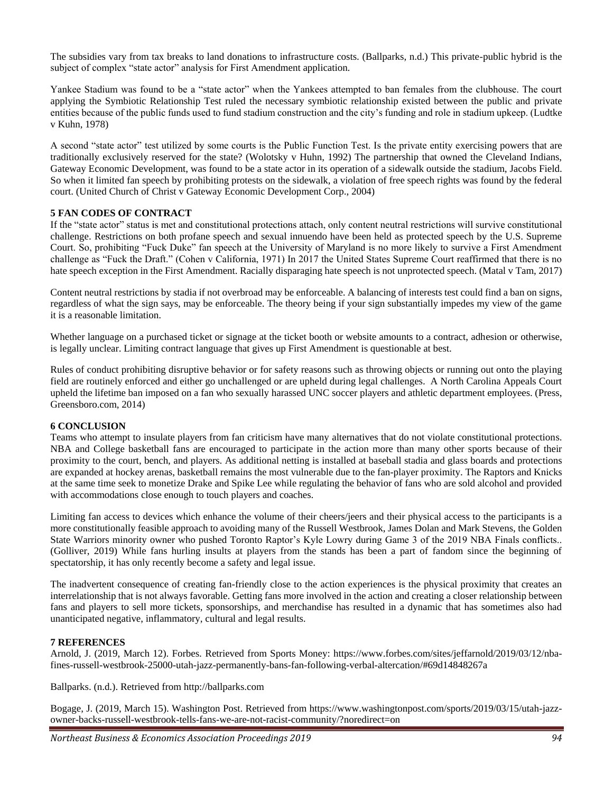The subsidies vary from tax breaks to land donations to infrastructure costs. (Ballparks, n.d.) This private-public hybrid is the subject of complex "state actor" analysis for First Amendment application.

Yankee Stadium was found to be a "state actor" when the Yankees attempted to ban females from the clubhouse. The court applying the Symbiotic Relationship Test ruled the necessary symbiotic relationship existed between the public and private entities because of the public funds used to fund stadium construction and the city's funding and role in stadium upkeep. (Ludtke v Kuhn, 1978)

A second "state actor" test utilized by some courts is the Public Function Test. Is the private entity exercising powers that are traditionally exclusively reserved for the state? (Wolotsky v Huhn, 1992) The partnership that owned the Cleveland Indians, Gateway Economic Development, was found to be a state actor in its operation of a sidewalk outside the stadium, Jacobs Field. So when it limited fan speech by prohibiting protests on the sidewalk, a violation of free speech rights was found by the federal court. (United Church of Christ v Gateway Economic Development Corp., 2004)

#### **5 FAN CODES OF CONTRACT**

If the "state actor" status is met and constitutional protections attach, only content neutral restrictions will survive constitutional challenge. Restrictions on both profane speech and sexual innuendo have been held as protected speech by the U.S. Supreme Court. So, prohibiting "Fuck Duke" fan speech at the University of Maryland is no more likely to survive a First Amendment challenge as "Fuck the Draft." (Cohen v California, 1971) In 2017 the United States Supreme Court reaffirmed that there is no hate speech exception in the First Amendment. Racially disparaging hate speech is not unprotected speech. (Matal v Tam, 2017)

Content neutral restrictions by stadia if not overbroad may be enforceable. A balancing of interests test could find a ban on signs, regardless of what the sign says, may be enforceable. The theory being if your sign substantially impedes my view of the game it is a reasonable limitation.

Whether language on a purchased ticket or signage at the ticket booth or website amounts to a contract, adhesion or otherwise, is legally unclear. Limiting contract language that gives up First Amendment is questionable at best.

Rules of conduct prohibiting disruptive behavior or for safety reasons such as throwing objects or running out onto the playing field are routinely enforced and either go unchallenged or are upheld during legal challenges. A North Carolina Appeals Court upheld the lifetime ban imposed on a fan who sexually harassed UNC soccer players and athletic department employees. (Press, Greensboro.com, 2014)

#### **6 CONCLUSION**

Teams who attempt to insulate players from fan criticism have many alternatives that do not violate constitutional protections. NBA and College basketball fans are encouraged to participate in the action more than many other sports because of their proximity to the court, bench, and players. As additional netting is installed at baseball stadia and glass boards and protections are expanded at hockey arenas, basketball remains the most vulnerable due to the fan-player proximity. The Raptors and Knicks at the same time seek to monetize Drake and Spike Lee while regulating the behavior of fans who are sold alcohol and provided with accommodations close enough to touch players and coaches.

Limiting fan access to devices which enhance the volume of their cheers/jeers and their physical access to the participants is a more constitutionally feasible approach to avoiding many of the Russell Westbrook, James Dolan and Mark Stevens, the Golden State Warriors minority owner who pushed Toronto Raptor's Kyle Lowry during Game 3 of the 2019 NBA Finals conflicts.. (Golliver, 2019) While fans hurling insults at players from the stands has been a part of fandom since the beginning of spectatorship, it has only recently become a safety and legal issue.

The inadvertent consequence of creating fan-friendly close to the action experiences is the physical proximity that creates an interrelationship that is not always favorable. Getting fans more involved in the action and creating a closer relationship between fans and players to sell more tickets, sponsorships, and merchandise has resulted in a dynamic that has sometimes also had unanticipated negative, inflammatory, cultural and legal results.

#### **7 REFERENCES**

Arnold, J. (2019, March 12). Forbes. Retrieved from Sports Money: https://www.forbes.com/sites/jeffarnold/2019/03/12/nbafines-russell-westbrook-25000-utah-jazz-permanently-bans-fan-following-verbal-altercation/#69d14848267a

Ballparks. (n.d.). Retrieved from http://ballparks.com

Bogage, J. (2019, March 15). Washington Post. Retrieved from https://www.washingtonpost.com/sports/2019/03/15/utah-jazzowner-backs-russell-westbrook-tells-fans-we-are-not-racist-community/?noredirect=on